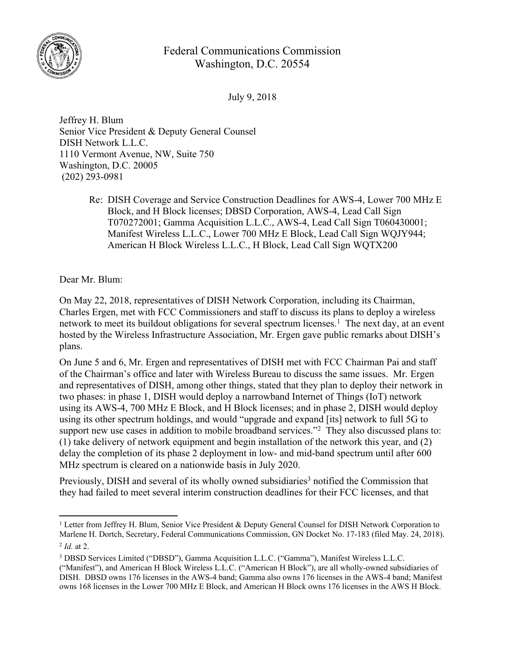

## Federal Communications Commission Washington, D.C. 20554

July 9, 2018

Jeffrey H. Blum Senior Vice President & Deputy General Counsel DISH Network L.L.C. 1110 Vermont Avenue, NW, Suite 750 Washington, D.C. 20005 (202) 293-0981

> Re: DISH Coverage and Service Construction Deadlines for AWS-4, Lower 700 MHz E Block, and H Block licenses; DBSD Corporation, AWS-4, Lead Call Sign T070272001; Gamma Acquisition L.L.C., AWS-4, Lead Call Sign T060430001; Manifest Wireless L.L.C., Lower 700 MHz E Block, Lead Call Sign WQJY944; American H Block Wireless L.L.C., H Block, Lead Call Sign WQTX200

Dear Mr. Blum:

On May 22, 2018, representatives of DISH Network Corporation, including its Chairman, Charles Ergen, met with FCC Commissioners and staff to discuss its plans to deploy a wireless network to meet its buildout obligations for several spectrum licenses.<sup>1</sup> The next day, at an event hosted by the Wireless Infrastructure Association, Mr. Ergen gave public remarks about DISH's plans.

On June 5 and 6, Mr. Ergen and representatives of DISH met with FCC Chairman Pai and staff of the Chairman's office and later with Wireless Bureau to discuss the same issues. Mr. Ergen and representatives of DISH, among other things, stated that they plan to deploy their network in two phases: in phase 1, DISH would deploy a narrowband Internet of Things (IoT) network using its AWS-4, 700 MHz E Block, and H Block licenses; and in phase 2, DISH would deploy using its other spectrum holdings, and would "upgrade and expand [its] network to full 5G to support new use cases in addition to mobile broadband services."<sup>2</sup> They also discussed plans to: (1) take delivery of network equipment and begin installation of the network this year, and (2) delay the completion of its phase 2 deployment in low- and mid-band spectrum until after 600 MHz spectrum is cleared on a nationwide basis in July 2020.

Previously, DISH and several of its wholly owned subsidiaries<sup>3</sup> notified the Commission that they had failed to meet several interim construction deadlines for their FCC licenses, and that

<sup>1</sup> Letter from Jeffrey H. Blum, Senior Vice President & Deputy General Counsel for DISH Network Corporation to Marlene H. Dortch, Secretary, Federal Communications Commission, GN Docket No. 17-183 (filed May. 24, 2018). 2 *Id.* at 2.

<sup>3</sup> DBSD Services Limited ("DBSD"), Gamma Acquisition L.L.C. ("Gamma"), Manifest Wireless L.L.C.

<sup>(&</sup>quot;Manifest"), and American H Block Wireless L.L.C. ("American H Block"), are all wholly-owned subsidiaries of DISH. DBSD owns 176 licenses in the AWS-4 band; Gamma also owns 176 licenses in the AWS-4 band; Manifest owns 168 licenses in the Lower 700 MHz E Block, and American H Block owns 176 licenses in the AWS H Block.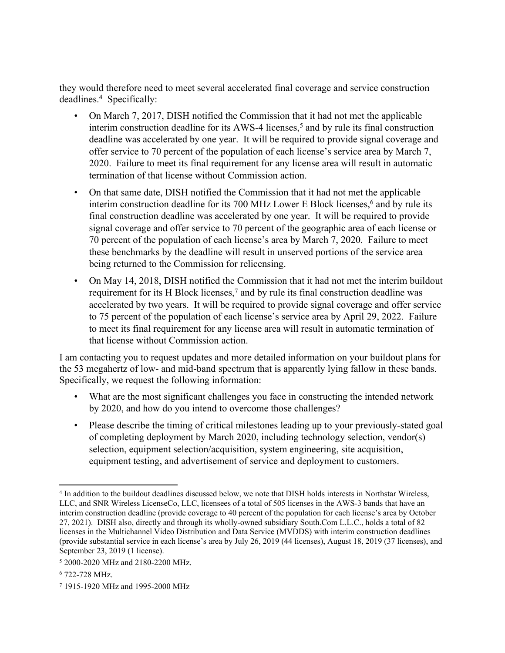they would therefore need to meet several accelerated final coverage and service construction deadlines.<sup>4</sup> Specifically:

- On March 7, 2017, DISH notified the Commission that it had not met the applicable interim construction deadline for its AWS-4 licenses,<sup>5</sup> and by rule its final construction deadline was accelerated by one year. It will be required to provide signal coverage and offer service to 70 percent of the population of each license's service area by March 7, 2020. Failure to meet its final requirement for any license area will result in automatic termination of that license without Commission action.
- On that same date, DISH notified the Commission that it had not met the applicable interim construction deadline for its 700 MHz Lower E Block licenses,<sup>6</sup> and by rule its final construction deadline was accelerated by one year. It will be required to provide signal coverage and offer service to 70 percent of the geographic area of each license or 70 percent of the population of each license's area by March 7, 2020. Failure to meet these benchmarks by the deadline will result in unserved portions of the service area being returned to the Commission for relicensing.
- On May 14, 2018, DISH notified the Commission that it had not met the interim buildout requirement for its H Block licenses,<sup>7</sup> and by rule its final construction deadline was accelerated by two years. It will be required to provide signal coverage and offer service to 75 percent of the population of each license's service area by April 29, 2022. Failure to meet its final requirement for any license area will result in automatic termination of that license without Commission action.

I am contacting you to request updates and more detailed information on your buildout plans for the 53 megahertz of low- and mid-band spectrum that is apparently lying fallow in these bands. Specifically, we request the following information:

- What are the most significant challenges you face in constructing the intended network by 2020, and how do you intend to overcome those challenges?
- Please describe the timing of critical milestones leading up to your previously-stated goal of completing deployment by March 2020, including technology selection, vendor(s) selection, equipment selection/acquisition, system engineering, site acquisition, equipment testing, and advertisement of service and deployment to customers.

<sup>4</sup> In addition to the buildout deadlines discussed below, we note that DISH holds interests in Northstar Wireless, LLC, and SNR Wireless LicenseCo, LLC, licensees of a total of 505 licenses in the AWS-3 bands that have an interim construction deadline (provide coverage to 40 percent of the population for each license's area by October 27, 2021). DISH also, directly and through its wholly-owned subsidiary South.Com L.L.C., holds a total of 82 licenses in the Multichannel Video Distribution and Data Service (MVDDS) with interim construction deadlines (provide substantial service in each license's area by July 26, 2019 (44 licenses), August 18, 2019 (37 licenses), and September 23, 2019 (1 license).

<sup>5</sup> 2000-2020 MHz and 2180-2200 MHz.

<sup>6</sup> 722-728 MHz.

<sup>7</sup> 1915-1920 MHz and 1995-2000 MHz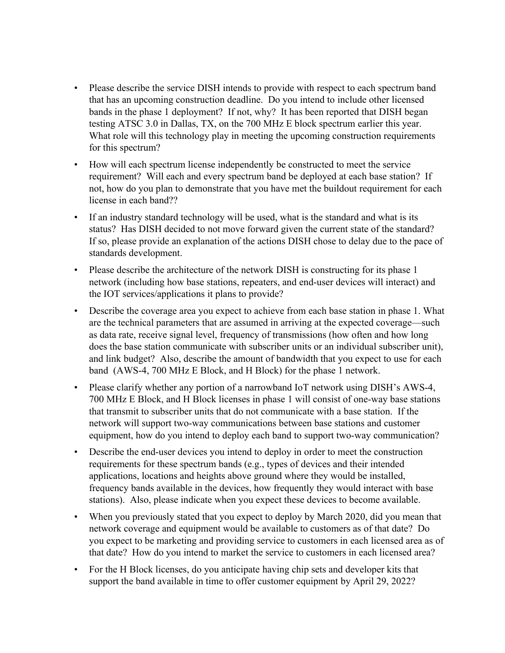- Please describe the service DISH intends to provide with respect to each spectrum band that has an upcoming construction deadline. Do you intend to include other licensed bands in the phase 1 deployment? If not, why? It has been reported that DISH began testing ATSC 3.0 in Dallas, TX, on the 700 MHz E block spectrum earlier this year. What role will this technology play in meeting the upcoming construction requirements for this spectrum?
- How will each spectrum license independently be constructed to meet the service requirement? Will each and every spectrum band be deployed at each base station? If not, how do you plan to demonstrate that you have met the buildout requirement for each license in each band??
- If an industry standard technology will be used, what is the standard and what is its status? Has DISH decided to not move forward given the current state of the standard? If so, please provide an explanation of the actions DISH chose to delay due to the pace of standards development.
- Please describe the architecture of the network DISH is constructing for its phase 1 network (including how base stations, repeaters, and end-user devices will interact) and the IOT services/applications it plans to provide?
- Describe the coverage area you expect to achieve from each base station in phase 1. What are the technical parameters that are assumed in arriving at the expected coverage—such as data rate, receive signal level, frequency of transmissions (how often and how long does the base station communicate with subscriber units or an individual subscriber unit), and link budget? Also, describe the amount of bandwidth that you expect to use for each band (AWS-4, 700 MHz E Block, and H Block) for the phase 1 network.
- Please clarify whether any portion of a narrowband IoT network using DISH's AWS-4, 700 MHz E Block, and H Block licenses in phase 1 will consist of one-way base stations that transmit to subscriber units that do not communicate with a base station. If the network will support two-way communications between base stations and customer equipment, how do you intend to deploy each band to support two-way communication?
- Describe the end-user devices you intend to deploy in order to meet the construction requirements for these spectrum bands (e.g., types of devices and their intended applications, locations and heights above ground where they would be installed, frequency bands available in the devices, how frequently they would interact with base stations). Also, please indicate when you expect these devices to become available.
- When you previously stated that you expect to deploy by March 2020, did you mean that network coverage and equipment would be available to customers as of that date? Do you expect to be marketing and providing service to customers in each licensed area as of that date? How do you intend to market the service to customers in each licensed area?
- For the H Block licenses, do you anticipate having chip sets and developer kits that support the band available in time to offer customer equipment by April 29, 2022?